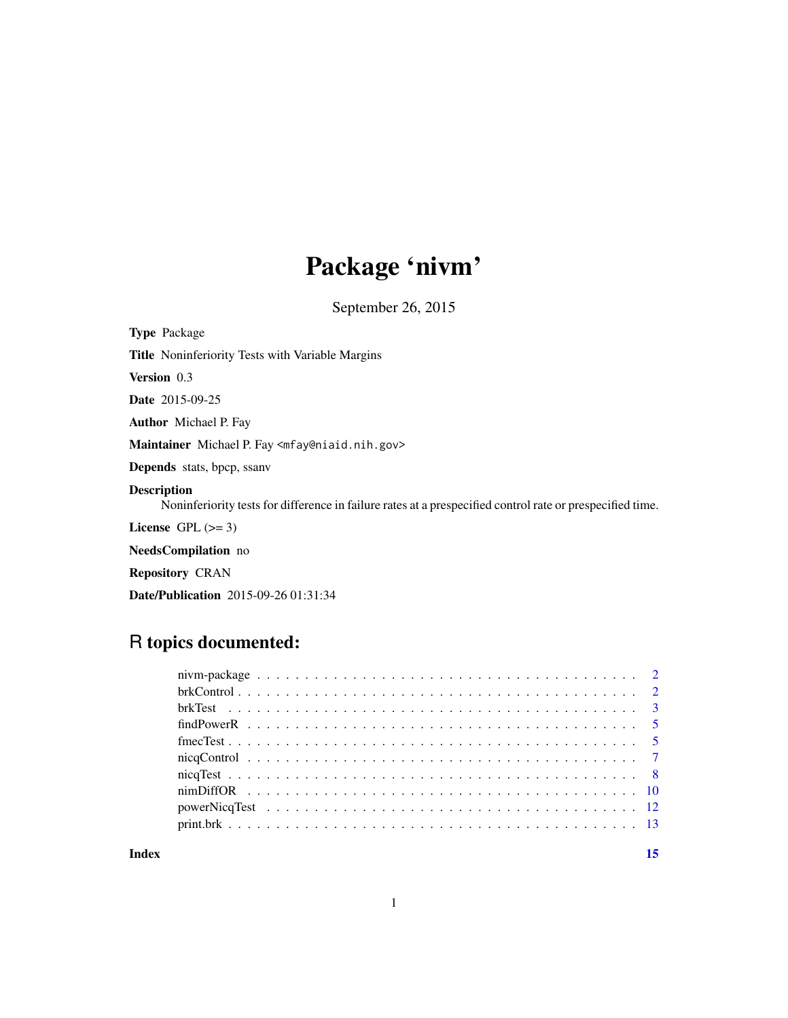## Package 'nivm'

September 26, 2015

<span id="page-0-0"></span>Type Package

Title Noninferiority Tests with Variable Margins

Version 0.3

Date 2015-09-25

Author Michael P. Fay

Maintainer Michael P. Fay <mfay@niaid.nih.gov>

Depends stats, bpcp, ssanv

#### Description

Noninferiority tests for difference in failure rates at a prespecified control rate or prespecified time.

License GPL  $(>= 3)$ 

NeedsCompilation no

Repository CRAN

Date/Publication 2015-09-26 01:31:34

### R topics documented:

| Index | 15 |
|-------|----|
|       |    |
|       |    |
|       |    |
|       |    |
|       |    |
|       |    |
|       |    |
|       |    |
|       |    |
|       |    |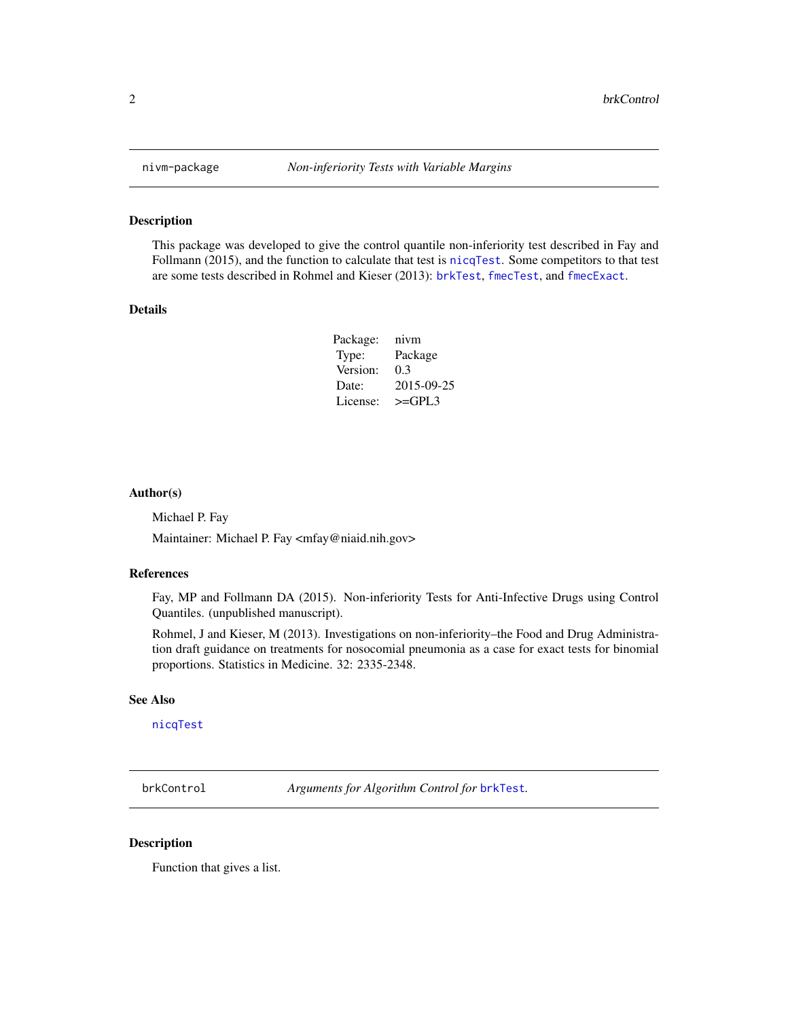This package was developed to give the control quantile non-inferiority test described in Fay and Follmann (2015), and the function to calculate that test is [nicqTest](#page-7-1). Some competitors to that test are some tests described in Rohmel and Kieser (2013): [brkTest](#page-2-1), [fmecTest](#page-4-1), and [fmecExact](#page-4-2).

#### Details

| nivm       |
|------------|
| Package    |
| 0.3        |
| 2015-09-25 |
| $>=$ GPL3  |
|            |

#### Author(s)

Michael P. Fay

Maintainer: Michael P. Fay <mfay@niaid.nih.gov>

#### References

Fay, MP and Follmann DA (2015). Non-inferiority Tests for Anti-Infective Drugs using Control Quantiles. (unpublished manuscript).

Rohmel, J and Kieser, M (2013). Investigations on non-inferiority–the Food and Drug Administration draft guidance on treatments for nosocomial pneumonia as a case for exact tests for binomial proportions. Statistics in Medicine. 32: 2335-2348.

#### See Also

[nicqTest](#page-7-1)

<span id="page-1-1"></span>brkControl *Arguments for Algorithm Control for* [brkTest](#page-2-1)*.*

#### Description

Function that gives a list.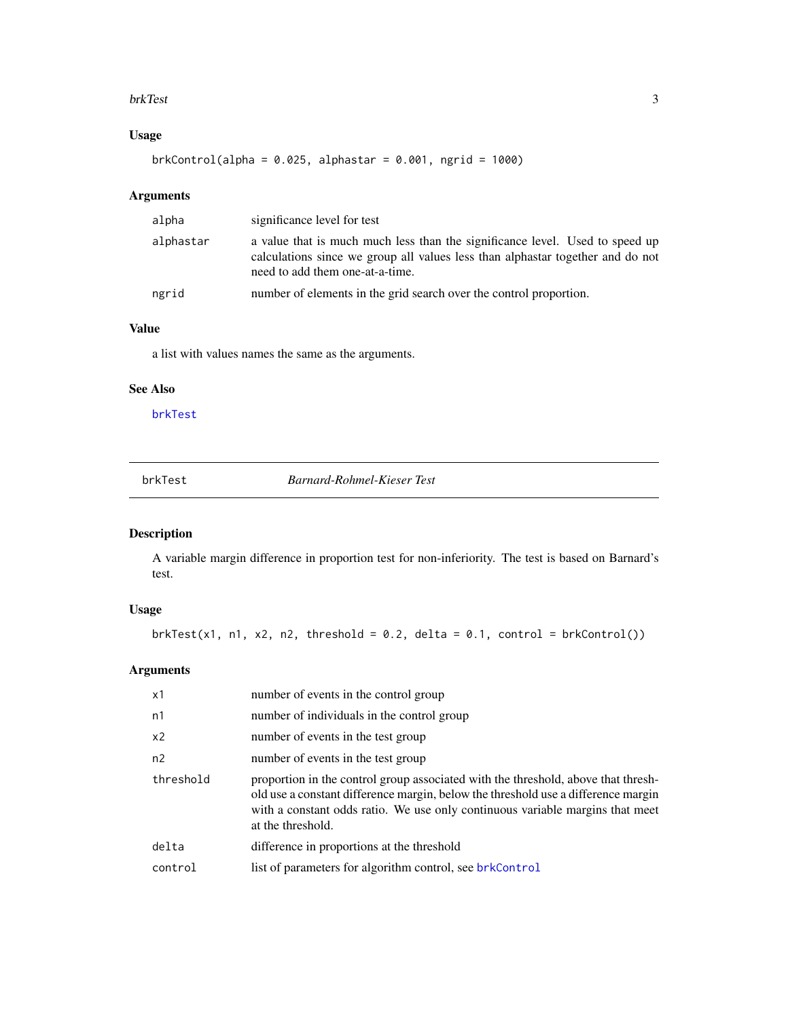#### <span id="page-2-0"></span>brkTest 3

#### Usage

 $brkControl(alpha = 0.025, alphastar = 0.001, ngrid = 1000)$ 

#### Arguments

| alpha     | significance level for test                                                                                                                                                                       |
|-----------|---------------------------------------------------------------------------------------------------------------------------------------------------------------------------------------------------|
| alphastar | a value that is much much less than the significance level. Used to speed up<br>calculations since we group all values less than alphastar together and do not<br>need to add them one-at-a-time. |
| ngrid     | number of elements in the grid search over the control proportion.                                                                                                                                |

#### Value

a list with values names the same as the arguments.

#### See Also

[brkTest](#page-2-1)

<span id="page-2-1"></span>

| brkTest |  |  |
|---------|--|--|
|         |  |  |

 $Barnard-Rohmel-Kieser Test$ 

#### Description

A variable margin difference in proportion test for non-inferiority. The test is based on Barnard's test.

#### Usage

 $brkTest(x1, n1, x2, n2, threshold = 0.2, delta = 0.1, control =  $brkCountrol()$$ 

#### Arguments

| x1             | number of events in the control group                                                                                                                                                                                                                                        |
|----------------|------------------------------------------------------------------------------------------------------------------------------------------------------------------------------------------------------------------------------------------------------------------------------|
| n1             | number of individuals in the control group                                                                                                                                                                                                                                   |
| x <sub>2</sub> | number of events in the test group                                                                                                                                                                                                                                           |
| n2             | number of events in the test group                                                                                                                                                                                                                                           |
| threshold      | proportion in the control group associated with the threshold, above that thresh-<br>old use a constant difference margin, below the threshold use a difference margin<br>with a constant odds ratio. We use only continuous variable margins that meet<br>at the threshold. |
| delta          | difference in proportions at the threshold                                                                                                                                                                                                                                   |
| control        | list of parameters for algorithm control, see brkControl                                                                                                                                                                                                                     |
|                |                                                                                                                                                                                                                                                                              |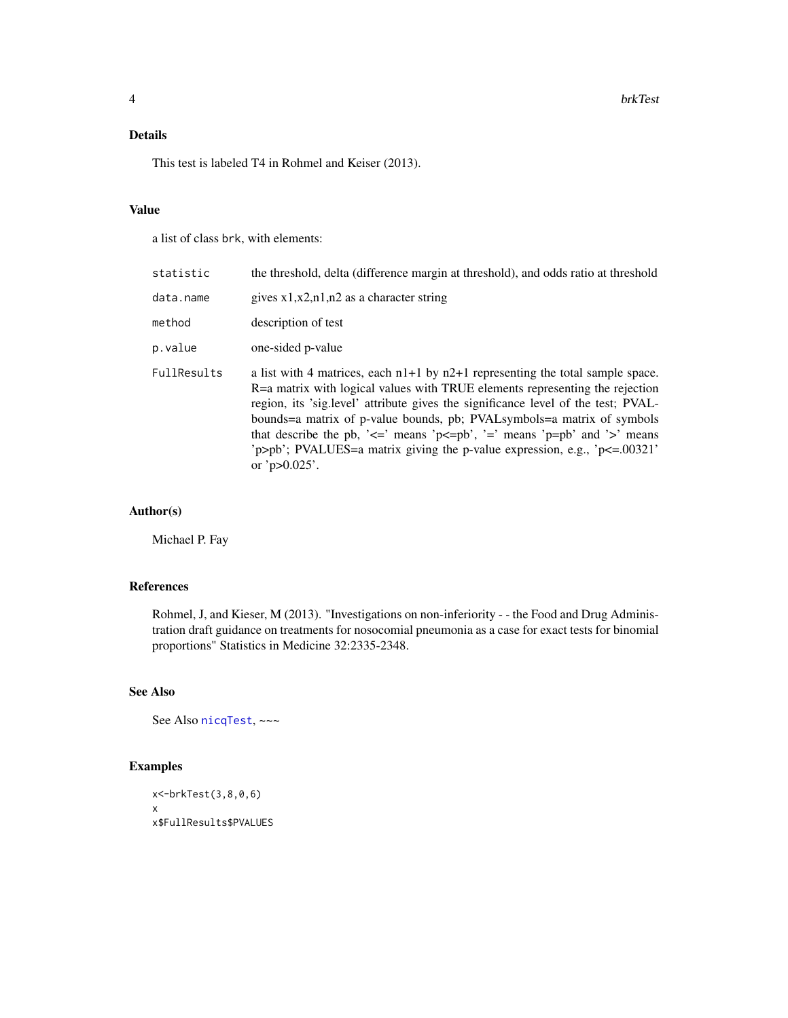#### <span id="page-3-0"></span>Details

This test is labeled T4 in Rohmel and Keiser (2013).

#### Value

a list of class brk, with elements:

| statistic   | the threshold, delta (difference margin at threshold), and odds ratio at threshold                                                                                                                                                                                                                                                                                                                                                                                                                                                          |
|-------------|---------------------------------------------------------------------------------------------------------------------------------------------------------------------------------------------------------------------------------------------------------------------------------------------------------------------------------------------------------------------------------------------------------------------------------------------------------------------------------------------------------------------------------------------|
| data.name   | gives $x1, x2, n1, n2$ as a character string                                                                                                                                                                                                                                                                                                                                                                                                                                                                                                |
| method      | description of test                                                                                                                                                                                                                                                                                                                                                                                                                                                                                                                         |
| p.value     | one-sided p-value                                                                                                                                                                                                                                                                                                                                                                                                                                                                                                                           |
| FullResults | a list with 4 matrices, each $n1+1$ by $n2+1$ representing the total sample space.<br>R=a matrix with logical values with TRUE elements representing the rejection<br>region, its 'sig.level' attribute gives the significance level of the test; PVAL-<br>bounds=a matrix of p-value bounds, pb; PVALsymbols=a matrix of symbols<br>that describe the pb, ' $\leq$ means ' $p \leq p$ b', '=' means ' $p = p$ b' and '>' means<br>'p>pb'; PVALUES=a matrix giving the p-value expression, e.g., ' $p \le 0.00321$ '<br>or ' $p > 0.025$ '. |

#### Author(s)

Michael P. Fay

#### References

Rohmel, J, and Kieser, M (2013). "Investigations on non-inferiority - - the Food and Drug Administration draft guidance on treatments for nosocomial pneumonia as a case for exact tests for binomial proportions" Statistics in Medicine 32:2335-2348.

#### See Also

See Also [nicqTest](#page-7-1), ~~~

#### Examples

```
x<-brkTest(3,8,0,6)
x
x$FullResults$PVALUES
```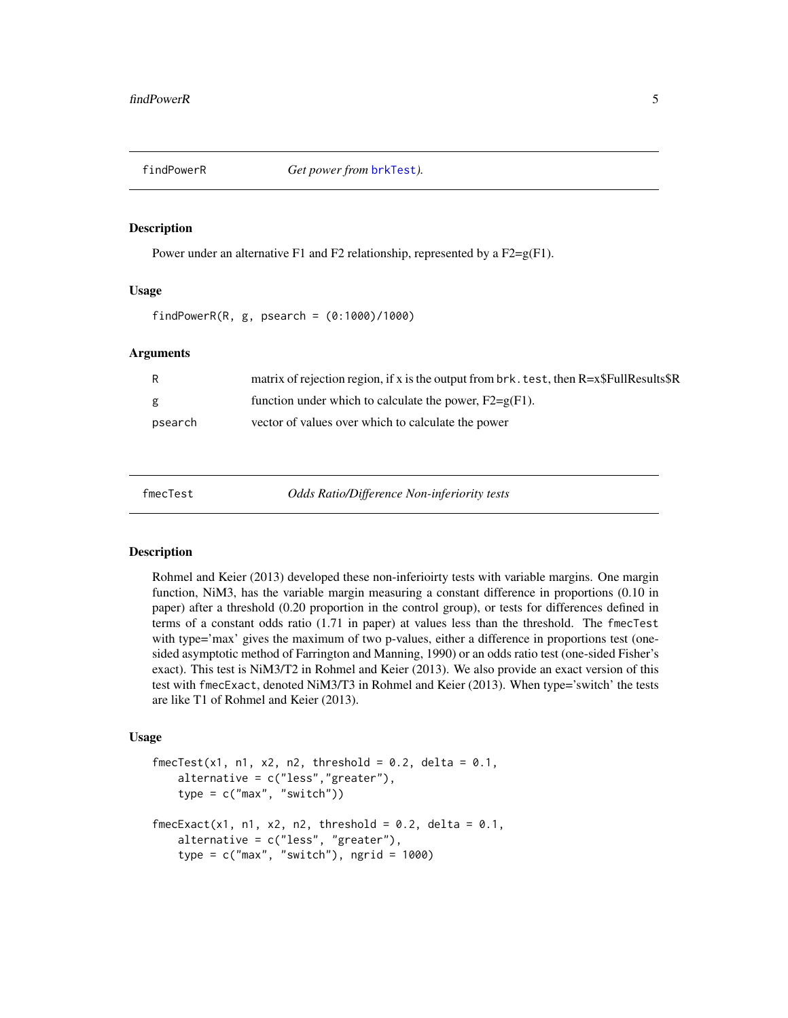<span id="page-4-0"></span>

Power under an alternative F1 and F2 relationship, represented by a  $F2 = g(F1)$ .

#### Usage

findPowerR(R,  $g$ , psearch =  $(0:1000)/1000$ )

#### Arguments

| R       | matrix of rejection region, if x is the output from $brk$ . test, then $R = x$FullResults$ |
|---------|--------------------------------------------------------------------------------------------|
| g       | function under which to calculate the power, $F2 = g(F1)$ .                                |
| psearch | vector of values over which to calculate the power                                         |

<span id="page-4-1"></span>

fmecTest *Odds Ratio/Difference Non-inferiority tests*

#### <span id="page-4-2"></span>**Description**

Rohmel and Keier (2013) developed these non-inferioirty tests with variable margins. One margin function, NiM3, has the variable margin measuring a constant difference in proportions (0.10 in paper) after a threshold (0.20 proportion in the control group), or tests for differences defined in terms of a constant odds ratio (1.71 in paper) at values less than the threshold. The fmecTest with type='max' gives the maximum of two p-values, either a difference in proportions test (onesided asymptotic method of Farrington and Manning, 1990) or an odds ratio test (one-sided Fisher's exact). This test is NiM3/T2 in Rohmel and Keier (2013). We also provide an exact version of this test with fmecExact, denoted NiM3/T3 in Rohmel and Keier (2013). When type='switch' the tests are like T1 of Rohmel and Keier (2013).

#### Usage

```
fmeCTest(x1, n1, x2, n2, threshold = 0.2, delta = 0.1,alternative = c("less","greater"),
   type = c("max", "switch"))
fmecExact(x1, n1, x2, n2, threshold = 0.2, delta = 0.1,
   alternative = c("less", "greater"),
   type = c("max", "switch"), ngrid = 1000)
```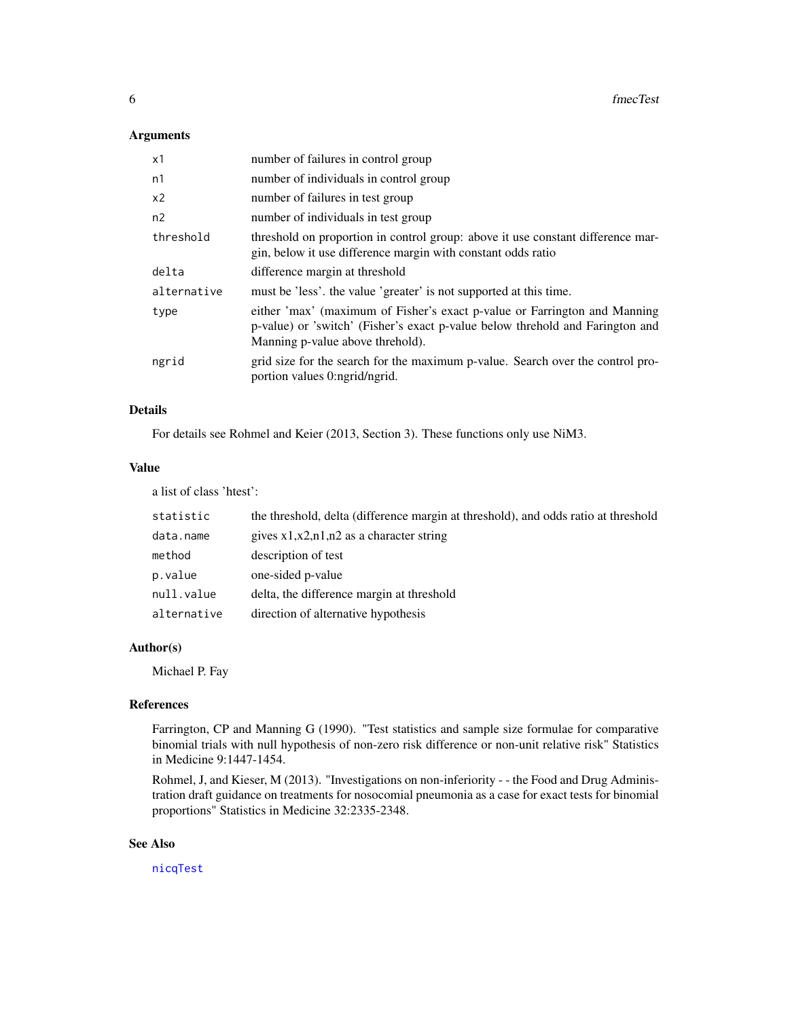#### <span id="page-5-0"></span>Arguments

| х1          | number of failures in control group                                                                                                                                                            |
|-------------|------------------------------------------------------------------------------------------------------------------------------------------------------------------------------------------------|
| n1          | number of individuals in control group                                                                                                                                                         |
| x2          | number of failures in test group                                                                                                                                                               |
| n2          | number of individuals in test group                                                                                                                                                            |
| threshold   | threshold on proportion in control group: above it use constant difference mar-<br>gin, below it use difference margin with constant odds ratio                                                |
| delta       | difference margin at threshold                                                                                                                                                                 |
| alternative | must be 'less', the value 'greater' is not supported at this time.                                                                                                                             |
| type        | either 'max' (maximum of Fisher's exact p-value or Farrington and Manning<br>p-value) or 'switch' (Fisher's exact p-value below threhold and Farington and<br>Manning p-value above threhold). |
| ngrid       | grid size for the search for the maximum p-value. Search over the control pro-<br>portion values 0:ngrid/ngrid.                                                                                |

#### Details

For details see Rohmel and Keier (2013, Section 3). These functions only use NiM3.

#### Value

a list of class 'htest':

| statistic   | the threshold, delta (difference margin at threshold), and odds ratio at threshold |
|-------------|------------------------------------------------------------------------------------|
| data.name   | gives $x1, x2, n1, n2$ as a character string                                       |
| method      | description of test                                                                |
| p.value     | one-sided p-value                                                                  |
| null.value  | delta, the difference margin at threshold                                          |
| alternative | direction of alternative hypothesis                                                |

#### Author(s)

Michael P. Fay

#### References

Farrington, CP and Manning G (1990). "Test statistics and sample size formulae for comparative binomial trials with null hypothesis of non-zero risk difference or non-unit relative risk" Statistics in Medicine 9:1447-1454.

Rohmel, J, and Kieser, M (2013). "Investigations on non-inferiority - - the Food and Drug Administration draft guidance on treatments for nosocomial pneumonia as a case for exact tests for binomial proportions" Statistics in Medicine 32:2335-2348.

#### See Also

[nicqTest](#page-7-1)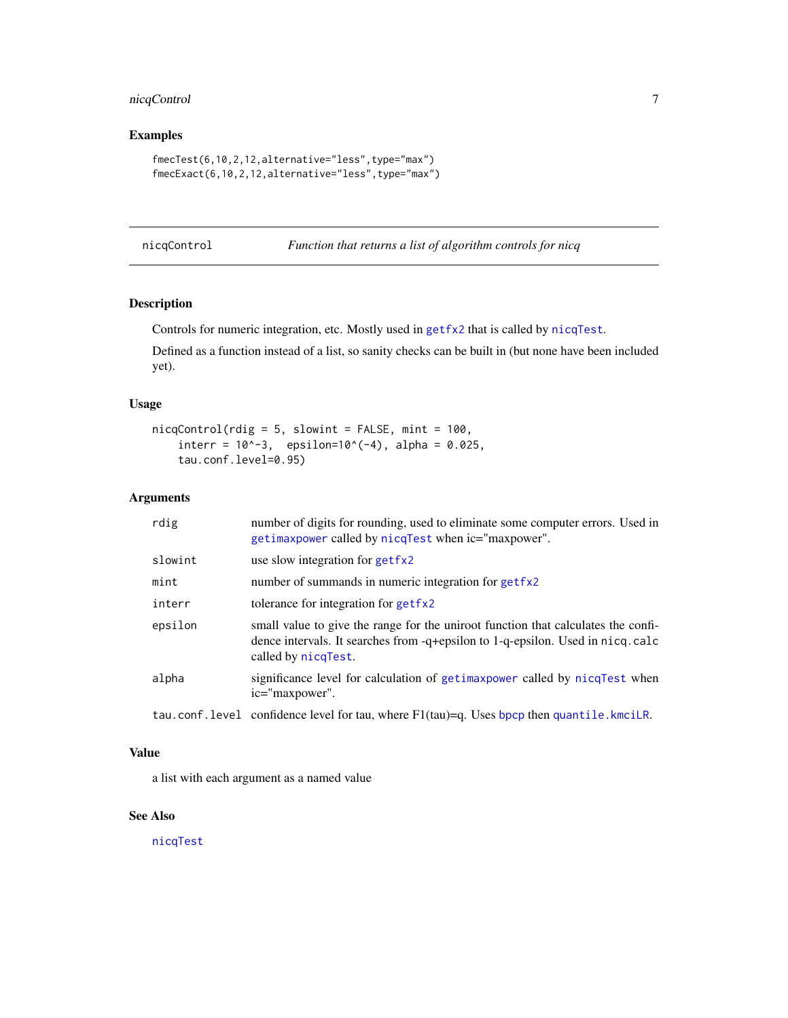#### <span id="page-6-0"></span>nicqControl 7

#### Examples

```
fmecTest(6,10,2,12,alternative="less",type="max")
fmecExact(6,10,2,12,alternative="less",type="max")
```
<span id="page-6-1"></span>nicqControl *Function that returns a list of algorithm controls for nicq*

#### Description

Controls for numeric integration, etc. Mostly used in [getfx2](#page-0-0) that is called by [nicqTest](#page-7-1).

Defined as a function instead of a list, so sanity checks can be built in (but none have been included yet).

#### Usage

```
nicqControl(rdig = 5, slowint = FALSE, mint = 100,interr = 10^{(-3)}, epsilon=10^(-4), alpha = 0.025,
    tau.conf.level=0.95)
```
#### Arguments

| rdig    | number of digits for rounding, used to eliminate some computer errors. Used in<br>getimaxpower called by nicqTest when ic="maxpower".                                                      |
|---------|--------------------------------------------------------------------------------------------------------------------------------------------------------------------------------------------|
| slowint | use slow integration for get fx2                                                                                                                                                           |
| mint    | number of summands in numeric integration for getfx2                                                                                                                                       |
| interr  | tolerance for integration for getfx2                                                                                                                                                       |
| epsilon | small value to give the range for the uniroot function that calculates the confi-<br>dence intervals. It searches from -q+epsilon to 1-q-epsilon. Used in nicq.calc<br>called by nicqTest. |
| alpha   | significance level for calculation of getimaxpower called by nicqTest when<br>ic="maxpower".                                                                                               |
|         | tau.conf.level confidence level for tau, where $F1(tau)=q$ . Uses bpcp then quantile.kmcilR.                                                                                               |

#### Value

a list with each argument as a named value

#### See Also

[nicqTest](#page-7-1)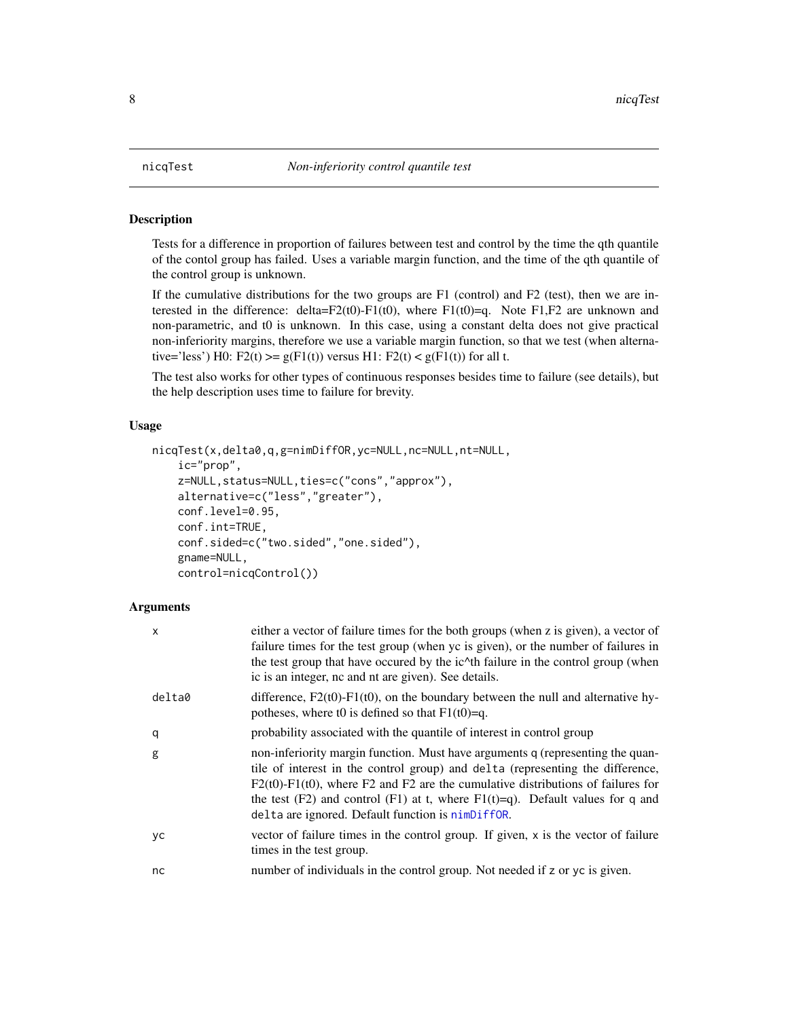<span id="page-7-1"></span><span id="page-7-0"></span>

Tests for a difference in proportion of failures between test and control by the time the qth quantile of the contol group has failed. Uses a variable margin function, and the time of the qth quantile of the control group is unknown.

If the cumulative distributions for the two groups are F1 (control) and F2 (test), then we are interested in the difference: delta= $F2(t0)$ - $F1(t0)$ , where  $F1(t0)=q$ . Note  $F1,F2$  are unknown and non-parametric, and t0 is unknown. In this case, using a constant delta does not give practical non-inferiority margins, therefore we use a variable margin function, so that we test (when alternative='less') H0: F2(t) >=  $g(F1(t))$  versus H1: F2(t) <  $g(F1(t))$  for all t.

The test also works for other types of continuous responses besides time to failure (see details), but the help description uses time to failure for brevity.

#### Usage

```
nicqTest(x,delta0,q,g=nimDiffOR,yc=NULL,nc=NULL,nt=NULL,
    ic="prop",
    z=NULL,status=NULL,ties=c("cons","approx"),
    alternative=c("less","greater"),
    conf.level=0.95,
    conf.int=TRUE,
    conf.sided=c("two.sided","one.sided"),
    gname=NULL,
    control=nicqControl())
```
#### Arguments

| X      | either a vector of failure times for the both groups (when z is given), a vector of<br>failure times for the test group (when yc is given), or the number of failures in<br>the test group that have occured by the ic <sup><math>\wedge</math></sup> th failure in the control group (when<br>ic is an integer, no and nt are given). See details.                                                 |
|--------|-----------------------------------------------------------------------------------------------------------------------------------------------------------------------------------------------------------------------------------------------------------------------------------------------------------------------------------------------------------------------------------------------------|
| delta0 | difference, $F2(t0)$ - $F1(t0)$ , on the boundary between the null and alternative hy-<br>potheses, where t0 is defined so that $F1(t0)=q$ .                                                                                                                                                                                                                                                        |
| q      | probability associated with the quantile of interest in control group                                                                                                                                                                                                                                                                                                                               |
| g      | non-inferiority margin function. Must have arguments q (representing the quan-<br>tile of interest in the control group) and delta (representing the difference,<br>$F2(t0)$ - $F1(t0)$ , where F2 and F2 are the cumulative distributions of failures for<br>the test (F2) and control (F1) at t, where $F1(t)=q$ ). Default values for q and<br>delta are ignored. Default function is nimDiffOR. |
| yc     | vector of failure times in the control group. If given, x is the vector of failure<br>times in the test group.                                                                                                                                                                                                                                                                                      |
| nc     | number of individuals in the control group. Not needed if z or yc is given.                                                                                                                                                                                                                                                                                                                         |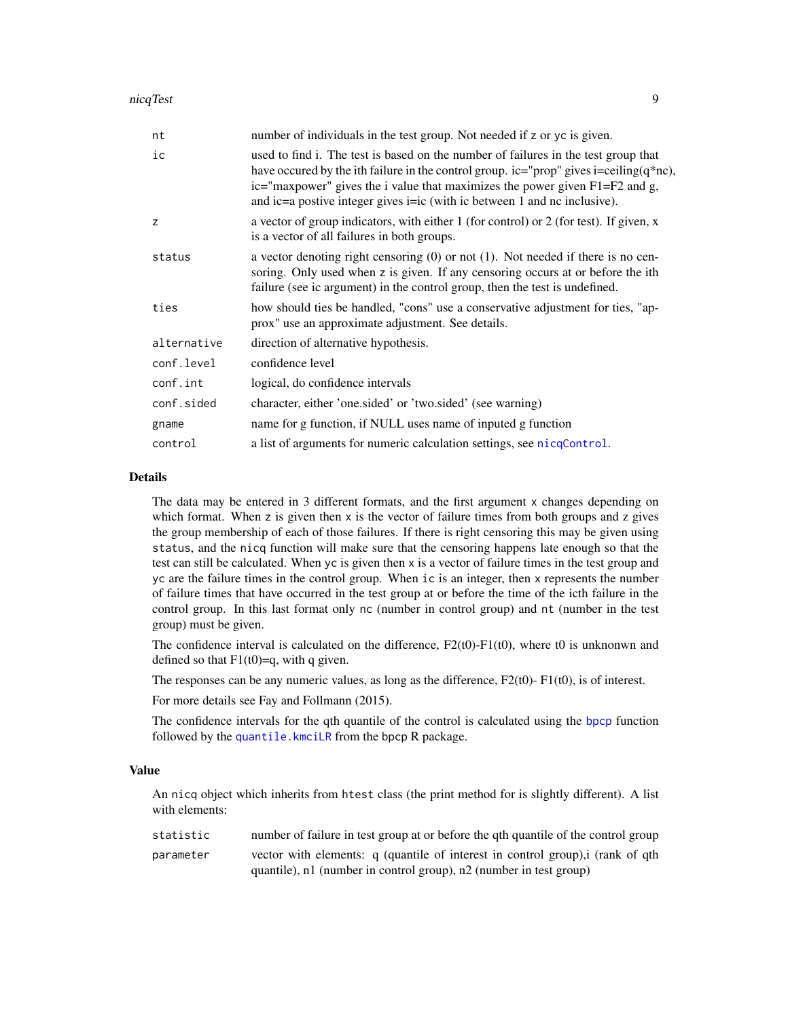<span id="page-8-0"></span>

| nt          | number of individuals in the test group. Not needed if z or yc is given.                                                                                                                                                                                                                                                                           |
|-------------|----------------------------------------------------------------------------------------------------------------------------------------------------------------------------------------------------------------------------------------------------------------------------------------------------------------------------------------------------|
| ic          | used to find i. The test is based on the number of failures in the test group that<br>have occurred by the ith failure in the control group. ic="prop" gives i=ceiling $(q^*nc)$ ,<br>ic="maxpower" gives the i value that maximizes the power given $F1 = F2$ and g,<br>and ic=a postive integer gives i=ic (with ic between 1 and nc inclusive). |
| z           | a vector of group indicators, with either 1 (for control) or 2 (for test). If given, x<br>is a vector of all failures in both groups.                                                                                                                                                                                                              |
| status      | a vector denoting right censoring $(0)$ or not $(1)$ . Not needed if there is no cen-<br>soring. Only used when z is given. If any censoring occurs at or before the ith<br>failure (see ic argument) in the control group, then the test is undefined.                                                                                            |
| ties        | how should ties be handled, "cons" use a conservative adjustment for ties, "ap-<br>prox" use an approximate adjustment. See details.                                                                                                                                                                                                               |
| alternative | direction of alternative hypothesis.                                                                                                                                                                                                                                                                                                               |
| conf.level  | confidence level                                                                                                                                                                                                                                                                                                                                   |
| conf.int    | logical, do confidence intervals                                                                                                                                                                                                                                                                                                                   |
| conf.sided  | character, either 'one sided' or 'two sided' (see warning)                                                                                                                                                                                                                                                                                         |
| gname       | name for g function, if NULL uses name of inputed g function                                                                                                                                                                                                                                                                                       |
| control     | a list of arguments for numeric calculation settings, see nicqControl.                                                                                                                                                                                                                                                                             |

#### Details

The data may be entered in 3 different formats, and the first argument x changes depending on which format. When z is given then  $x$  is the vector of failure times from both groups and z gives the group membership of each of those failures. If there is right censoring this may be given using status, and the nicq function will make sure that the censoring happens late enough so that the test can still be calculated. When yc is given then x is a vector of failure times in the test group and yc are the failure times in the control group. When ic is an integer, then x represents the number of failure times that have occurred in the test group at or before the time of the icth failure in the control group. In this last format only nc (number in control group) and nt (number in the test group) must be given.

The confidence interval is calculated on the difference,  $F2(t0)$ - $F1(t0)$ , where t0 is unknonwn and defined so that  $F1(t0)=q$ , with q given.

The responses can be any numeric values, as long as the difference,  $F2(t0)$ - $F1(t0)$ , is of interest.

For more details see Fay and Follmann (2015).

The confidence intervals for the qth quantile of the control is calculated using the [bpcp](#page-0-0) function followed by the [quantile.kmciLR](#page-0-0) from the bpcp R package.

#### Value

An nicq object which inherits from htest class (the print method for is slightly different). A list with elements:

statistic number of failure in test group at or before the qth quantile of the control group parameter vector with elements: q (quantile of interest in control group),i (rank of qth quantile), n1 (number in control group), n2 (number in test group)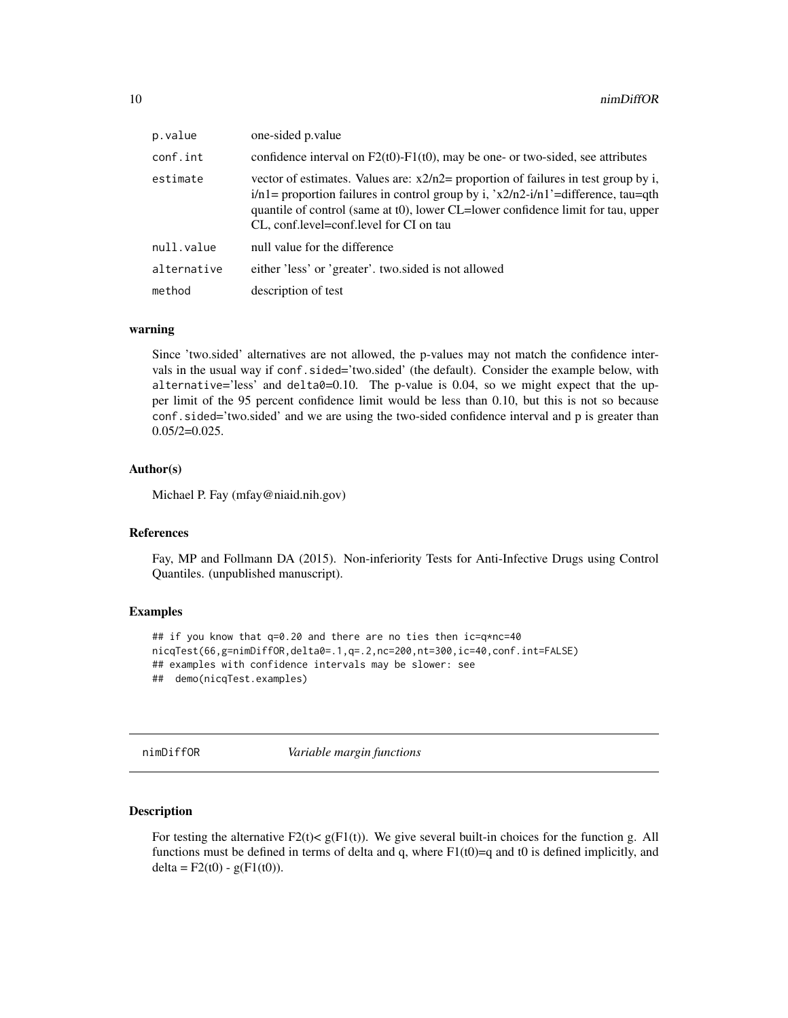<span id="page-9-0"></span>

| p.value     | one-sided p.value                                                                                                                                                                                                                                                                                                |
|-------------|------------------------------------------------------------------------------------------------------------------------------------------------------------------------------------------------------------------------------------------------------------------------------------------------------------------|
| conf.int    | confidence interval on $F2(t0)$ - $F1(t0)$ , may be one- or two-sided, see attributes                                                                                                                                                                                                                            |
| estimate    | vector of estimates. Values are: $x2/n2$ proportion of failures in test group by i,<br>$i/n1$ = proportion failures in control group by i, 'x2/n2- $i/n1$ ' = difference, tau=qth<br>quantile of control (same at t0), lower CL=lower confidence limit for tau, upper<br>CL, conf.level=conf.level for CI on tau |
| null.value  | null value for the difference                                                                                                                                                                                                                                                                                    |
| alternative | either 'less' or 'greater', two sided is not allowed                                                                                                                                                                                                                                                             |
| method      | description of test                                                                                                                                                                                                                                                                                              |

#### warning

Since 'two.sided' alternatives are not allowed, the p-values may not match the confidence intervals in the usual way if conf.sided='two.sided' (the default). Consider the example below, with alternative='less' and  $delta=0.10$ . The p-value is 0.04, so we might expect that the upper limit of the 95 percent confidence limit would be less than 0.10, but this is not so because conf.sided='two.sided' and we are using the two-sided confidence interval and p is greater than  $0.05/2=0.025$ .

#### Author(s)

Michael P. Fay (mfay@niaid.nih.gov)

#### References

Fay, MP and Follmann DA (2015). Non-inferiority Tests for Anti-Infective Drugs using Control Quantiles. (unpublished manuscript).

#### Examples

```
## if you know that q=0.20 and there are no ties then ic=q*nc=40
nicqTest(66,g=nimDiffOR,delta0=.1,q=.2,nc=200,nt=300,ic=40,conf.int=FALSE)
## examples with confidence intervals may be slower: see
## demo(nicqTest.examples)
```
<span id="page-9-1"></span>

nimDiffOR *Variable margin functions*

#### Description

For testing the alternative  $F2(t) < g(F1(t))$ . We give several built-in choices for the function g. All functions must be defined in terms of delta and q, where  $F1(t0)=q$  and t0 is defined implicitly, and delta =  $F2(t0) - g(F1(t0))$ .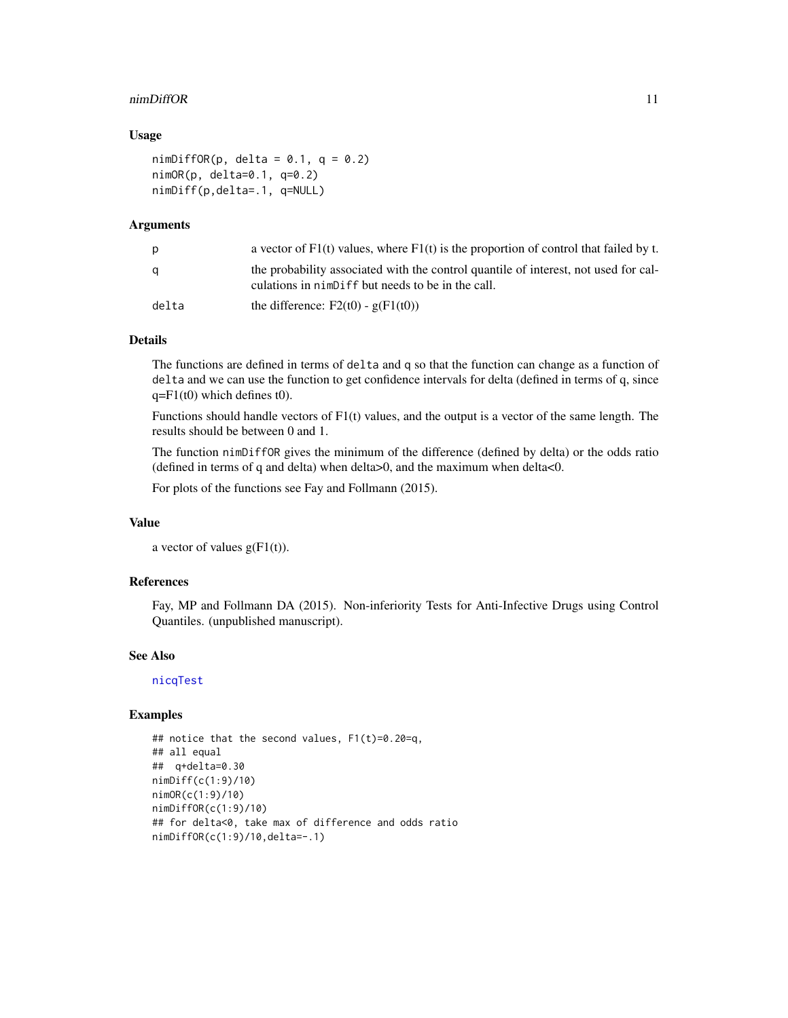#### <span id="page-10-0"></span>nimDiffOR 11

#### Usage

```
nimDiffOR(p, delta = 0.1, q = 0.2)
nimOR(p, delta=0.1, q=0.2)
nimDiff(p,delta=.1, q=NULL)
```
#### Arguments

| p     | a vector of $F1(t)$ values, where $F1(t)$ is the proportion of control that failed by t.                                                 |
|-------|------------------------------------------------------------------------------------------------------------------------------------------|
| a     | the probability associated with the control quantile of interest, not used for cal-<br>culations in nimbiff but needs to be in the call. |
| delta | the difference: $F2(t0) - g(F1(t0))$                                                                                                     |

#### Details

The functions are defined in terms of delta and q so that the function can change as a function of delta and we can use the function to get confidence intervals for delta (defined in terms of q, since  $q = F1(t0)$  which defines t0).

Functions should handle vectors of F1(t) values, and the output is a vector of the same length. The results should be between 0 and 1.

The function nimDiffOR gives the minimum of the difference (defined by delta) or the odds ratio (defined in terms of q and delta) when delta>0, and the maximum when delta<0.

For plots of the functions see Fay and Follmann (2015).

#### Value

a vector of values  $g(F1(t))$ .

#### References

Fay, MP and Follmann DA (2015). Non-inferiority Tests for Anti-Infective Drugs using Control Quantiles. (unpublished manuscript).

#### See Also

[nicqTest](#page-7-1)

#### Examples

```
## notice that the second values, F1(t)=0.20=q,
## all equal
## q+delta=0.30
nimDiff(c(1:9)/10)
nimOR(c(1:9)/10)
nimDiffOR(c(1:9)/10)
## for delta<0, take max of difference and odds ratio
nimDiffOR(c(1:9)/10,delta=-.1)
```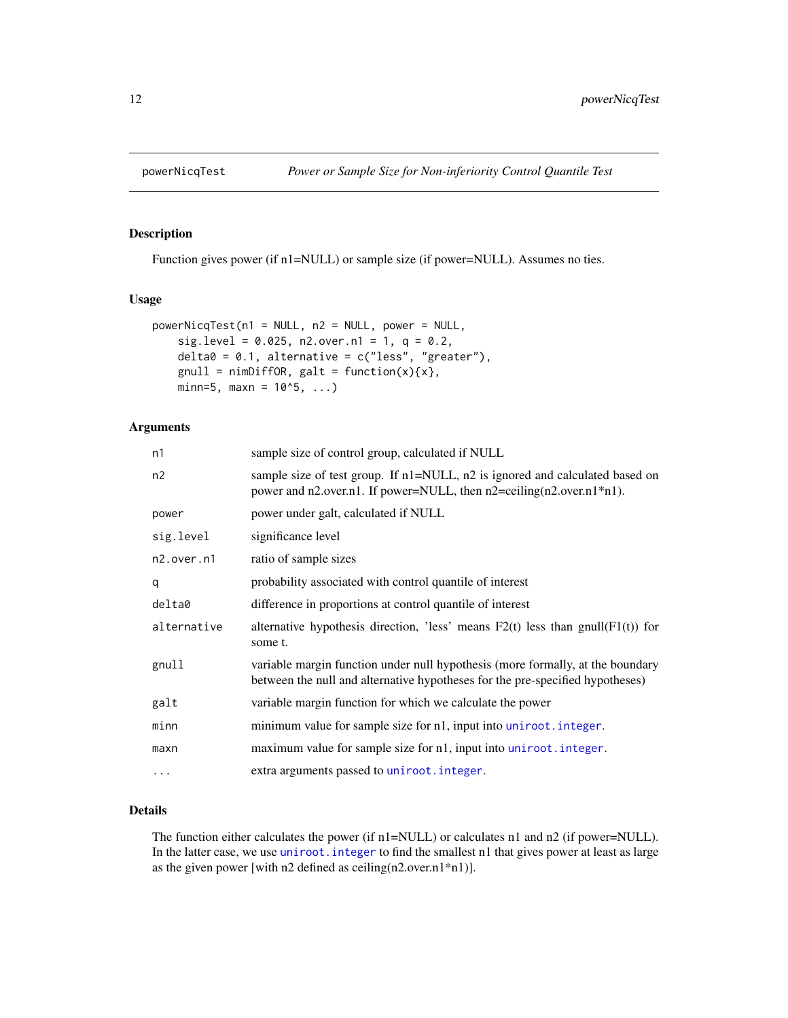<span id="page-11-0"></span>

Function gives power (if n1=NULL) or sample size (if power=NULL). Assumes no ties.

#### Usage

```
powerNicqTest(n1 = NULL, n2 = NULL, power = NULL,sig.level = 0.025, n2.over.n1 = 1, q = 0.2,
   delta = 0.1, alternative = c("less", "greater"),gnull = nimDiffOR, galt = function(x){x},min=5, maxn = 10^5, ...
```
#### Arguments

| n1          | sample size of control group, calculated if NULL                                                                                                                |
|-------------|-----------------------------------------------------------------------------------------------------------------------------------------------------------------|
| n2          | sample size of test group. If n1=NULL, n2 is ignored and calculated based on<br>power and n2.over.n1. If power=NULL, then n2=ceiling(n2.over.n1*n1).            |
| power       | power under galt, calculated if NULL                                                                                                                            |
| sig.level   | significance level                                                                                                                                              |
| n2.over.n1  | ratio of sample sizes                                                                                                                                           |
| q           | probability associated with control quantile of interest                                                                                                        |
| delta0      | difference in proportions at control quantile of interest                                                                                                       |
| alternative | alternative hypothesis direction, 'less' means $F2(t)$ less than gnull( $F1(t)$ ) for<br>some t.                                                                |
| gnull       | variable margin function under null hypothesis (more formally, at the boundary<br>between the null and alternative hypotheses for the pre-specified hypotheses) |
| galt        | variable margin function for which we calculate the power                                                                                                       |
| minn        | minimum value for sample size for n1, input into uniroot. integer.                                                                                              |
| maxn        | maximum value for sample size for n1, input into uniroot. integer.                                                                                              |
| $\cdots$    | extra arguments passed to uniroot. integer.                                                                                                                     |

#### Details

The function either calculates the power (if n1=NULL) or calculates n1 and n2 (if power=NULL). In the latter case, we use [uniroot.integer](#page-0-0) to find the smallest n1 that gives power at least as large as the given power [with n2 defined as ceiling(n2.over.n1\*n1)].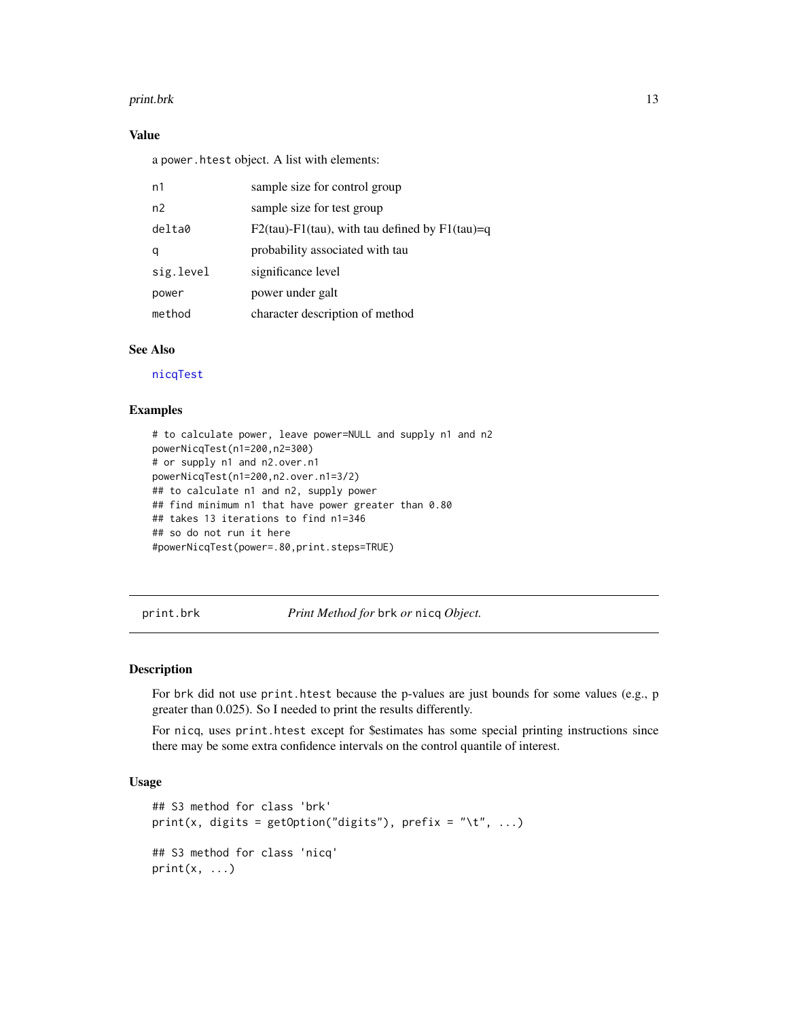#### <span id="page-12-0"></span>print.brk 13

#### Value

a power.htest object. A list with elements:

| n1        | sample size for control group                           |
|-----------|---------------------------------------------------------|
| n2        | sample size for test group                              |
| delta0    | $F2(tau) - F1(tau)$ , with tau defined by $F1(tau) = q$ |
| q         | probability associated with tau                         |
| sig.level | significance level                                      |
| power     | power under galt                                        |
| method    | character description of method                         |

#### See Also

[nicqTest](#page-7-1)

#### Examples

```
# to calculate power, leave power=NULL and supply n1 and n2
powerNicqTest(n1=200,n2=300)
# or supply n1 and n2.over.n1
powerNicqTest(n1=200,n2.over.n1=3/2)
## to calculate n1 and n2, supply power
## find minimum n1 that have power greater than 0.80
## takes 13 iterations to find n1=346
## so do not run it here
#powerNicqTest(power=.80,print.steps=TRUE)
```
print.brk *Print Method for* brk *or* nicq *Object.*

#### Description

For brk did not use print.htest because the p-values are just bounds for some values (e.g., p greater than 0.025). So I needed to print the results differently.

For nicq, uses print.htest except for \$estimates has some special printing instructions since there may be some extra confidence intervals on the control quantile of interest.

#### Usage

```
## S3 method for class 'brk'
print(x, digits = getOption("digits"), prefix = "\t", ...)
## S3 method for class 'nicq'
print(x, \ldots)
```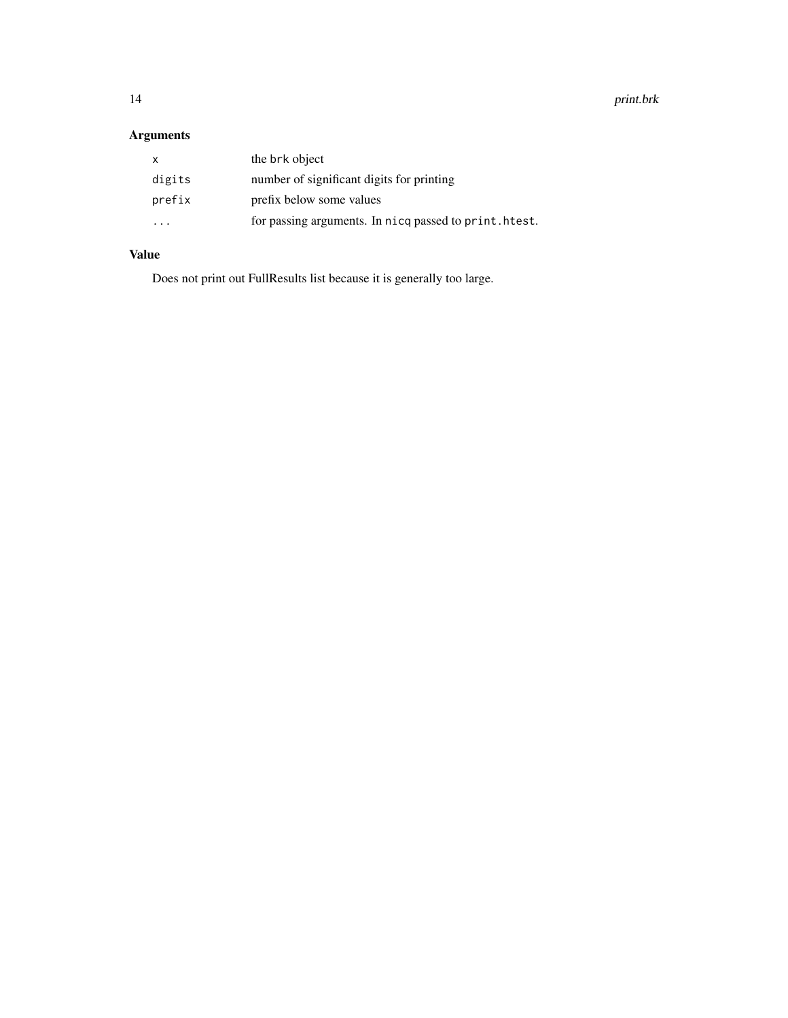14 print.brk

### Arguments

| $\mathsf{x}$ | the brk object                                         |
|--------------|--------------------------------------------------------|
| digits       | number of significant digits for printing              |
| prefix       | prefix below some values                               |
| .            | for passing arguments. In nicq passed to print. htest. |

#### Value

Does not print out FullResults list because it is generally too large.